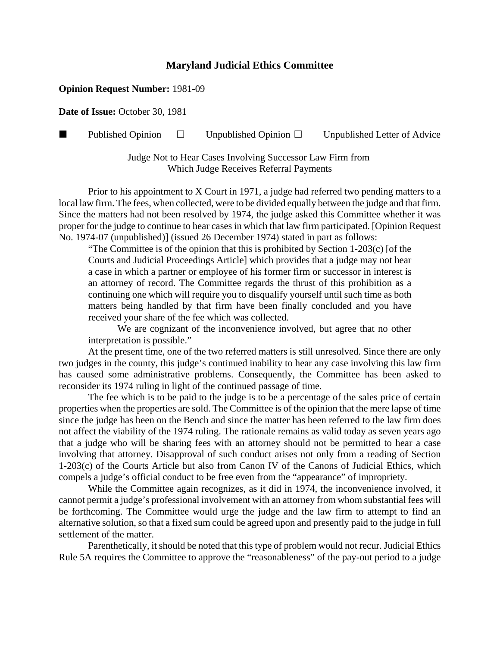## **Maryland Judicial Ethics Committee**

## **Opinion Request Number:** 1981-09

**Date of Issue:** October 30, 1981

**Published Opinion**  $\Box$  Unpublished Opinion  $\Box$  Unpublished Letter of Advice

Judge Not to Hear Cases Involving Successor Law Firm from Which Judge Receives Referral Payments

Prior to his appointment to X Court in 1971, a judge had referred two pending matters to a local law firm. The fees, when collected, were to be divided equally between the judge and that firm. Since the matters had not been resolved by 1974, the judge asked this Committee whether it was proper for the judge to continue to hear cases in which that law firm participated. [Opinion Request No. 1974-07 (unpublished)] (issued 26 December 1974) stated in part as follows:

"The Committee is of the opinion that this is prohibited by Section 1-203(c) [of the Courts and Judicial Proceedings Article] which provides that a judge may not hear a case in which a partner or employee of his former firm or successor in interest is an attorney of record. The Committee regards the thrust of this prohibition as a continuing one which will require you to disqualify yourself until such time as both matters being handled by that firm have been finally concluded and you have received your share of the fee which was collected.

We are cognizant of the inconvenience involved, but agree that no other interpretation is possible."

At the present time, one of the two referred matters is still unresolved. Since there are only two judges in the county, this judge's continued inability to hear any case involving this law firm has caused some administrative problems. Consequently, the Committee has been asked to reconsider its 1974 ruling in light of the continued passage of time.

The fee which is to be paid to the judge is to be a percentage of the sales price of certain properties when the properties are sold. The Committee is of the opinion that the mere lapse of time since the judge has been on the Bench and since the matter has been referred to the law firm does not affect the viability of the 1974 ruling. The rationale remains as valid today as seven years ago that a judge who will be sharing fees with an attorney should not be permitted to hear a case involving that attorney. Disapproval of such conduct arises not only from a reading of Section 1-203(c) of the Courts Article but also from Canon IV of the Canons of Judicial Ethics, which compels a judge's official conduct to be free even from the "appearance" of impropriety.

While the Committee again recognizes, as it did in 1974, the inconvenience involved, it cannot permit a judge's professional involvement with an attorney from whom substantial fees will be forthcoming. The Committee would urge the judge and the law firm to attempt to find an alternative solution, so that a fixed sum could be agreed upon and presently paid to the judge in full settlement of the matter.

Parenthetically, it should be noted that this type of problem would not recur. Judicial Ethics Rule 5A requires the Committee to approve the "reasonableness" of the pay-out period to a judge